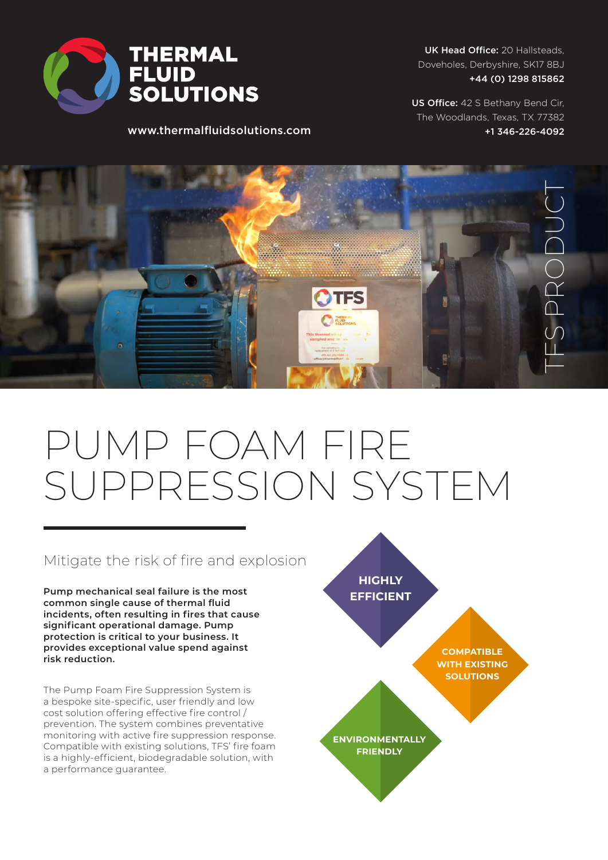

www.thermalfluidsolutions.com

UK Head Office: 20 Hallsteads, Doveholes, Derbyshire, SK17 8BJ +44 (0) 1298 815862

US Office: 42 S Bethany Bend Cir, The Woodlands, Texas, TX 77382 +1 346-226-4092

TFS PRODUCT

# PUMP FOAM FIRE SUPPRESSION SYSTEM

## Mitigate the risk of fire and explosion

**Pump mechanical seal failure is the most common single cause of thermal fluid incidents, often resulting in fires that cause significant operational damage. Pump protection is critical to your business. It provides exceptional value spend against risk reduction.**

The Pump Foam Fire Suppression System is a bespoke site-specific, user friendly and low cost solution offering effective fire control / prevention. The system combines preventative monitoring with active fire suppression response. Compatible with existing solutions, TFS' fire foam is a highly-efficient, biodegradable solution, with a performance guarantee.